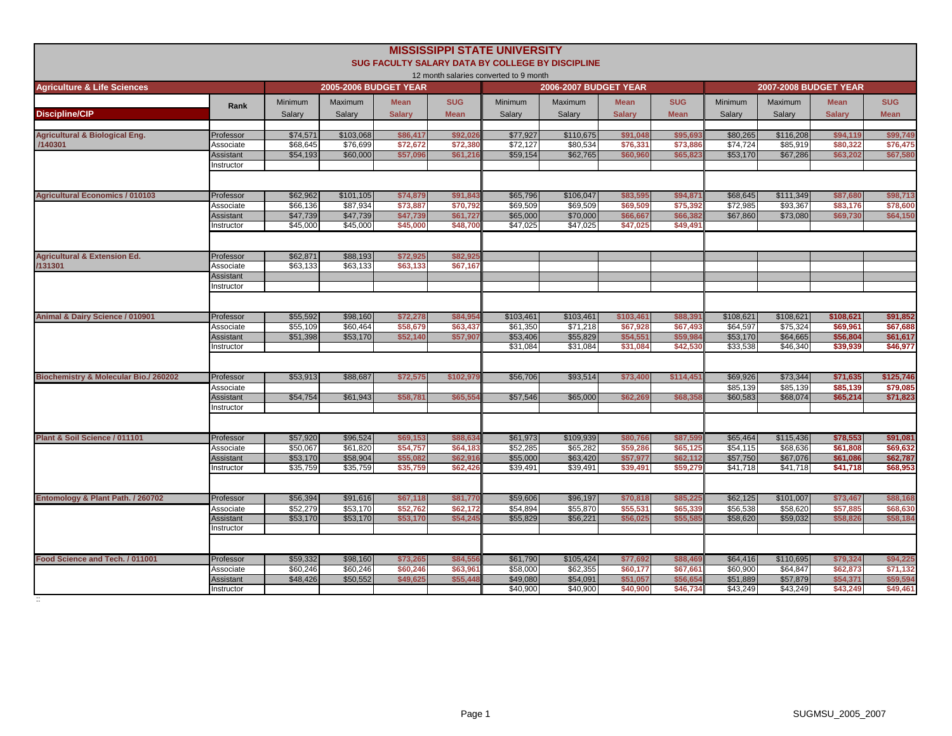|                                                 |                  |          |                       |               |             | <b>MISSISSIPPI STATE UNIVERSITY</b>    | SUG FACULTY SALARY DATA BY COLLEGE BY DISCIPLINE |               |             |           |                              |               |             |
|-------------------------------------------------|------------------|----------|-----------------------|---------------|-------------|----------------------------------------|--------------------------------------------------|---------------|-------------|-----------|------------------------------|---------------|-------------|
| <b>Agriculture &amp; Life Sciences</b>          |                  |          | 2005-2006 BUDGET YEAR |               |             | 12 month salaries converted to 9 month | 2006-2007 BUDGET YEAR                            |               |             |           | <b>2007-2008 BUDGET YEAR</b> |               |             |
|                                                 |                  | Minimum  | Maximum               | <b>Mean</b>   | <b>SUG</b>  | Minimum                                | Maximum                                          | <b>Mean</b>   | <b>SUG</b>  | Minimum   | Maximum                      | <b>Mean</b>   | <b>SUG</b>  |
| <b>Discipline/CIP</b>                           | Rank             | Salary   | Salarv                | <b>Salarv</b> | <b>Mean</b> | Salarv                                 | Salary                                           | <b>Salarv</b> | <b>Mean</b> | Salarv    | Salary                       | <b>Salarv</b> | <b>Mean</b> |
| <b>Agricultural &amp; Biological Eng.</b>       | Professor        | \$74,571 | \$103,068             | \$86,417      | \$92.02     | \$77,927                               | \$110,675                                        | \$91,048      | \$95.69     | \$80,265  | \$116,208                    | \$94,119      | \$99,749    |
| /140301                                         | Associate        | \$68,645 | \$76,699              | \$72,672      | \$72,380    | \$72,127                               | \$80,534                                         | \$76,331      | \$73,88     | \$74,724  | \$85,919                     | \$80,322      | \$76,47     |
|                                                 | <b>Assistant</b> | \$54,193 | \$60,000              | \$57,096      | \$61,216    | \$59,154                               | \$62,765                                         | \$60,960      | \$65,82     | \$53,170  | \$67,286                     | \$63,202      | \$67,580    |
|                                                 | Instructor       |          |                       |               |             |                                        |                                                  |               |             |           |                              |               |             |
| <b>Agricultural Economics / 010103</b>          | Professor        | \$62,962 | \$101,105             | \$74,879      | \$91,84     | \$65,796                               | \$106,047                                        | \$83,595      | \$94,87     | \$68,645  | \$111,349                    | \$87,680      | \$98,71     |
|                                                 | Associate        | \$66,136 | \$87,934              | \$73,887      | \$70,792    | \$69,509                               | \$69,509                                         | \$69,509      | \$75,392    | \$72,985  | \$93,367                     | \$83,176      | \$78,600    |
|                                                 | <b>Assistant</b> | \$47,739 | \$47,739              | \$47,739      | \$61,727    | \$65,000                               | \$70,000                                         | \$66,667      | \$66,38     | \$67,860  | \$73,080                     | \$69,730      | \$64,150    |
|                                                 | nstructor        | \$45,000 | \$45,000              | \$45,000      | \$48,700    | \$47,025                               | \$47,025                                         | \$47,025      | \$49,49     |           |                              |               |             |
|                                                 |                  |          |                       |               |             |                                        |                                                  |               |             |           |                              |               |             |
| <b>Agricultural &amp; Extension Ed.</b>         | Professor        | \$62,871 | \$88,193              | \$72,925      | \$82,92     |                                        |                                                  |               |             |           |                              |               |             |
| /131301                                         | Associate        | \$63,133 | \$63,133              | \$63,133      | \$67,167    |                                        |                                                  |               |             |           |                              |               |             |
|                                                 | Assistant        |          |                       |               |             |                                        |                                                  |               |             |           |                              |               |             |
|                                                 | Instructor       |          |                       |               |             |                                        |                                                  |               |             |           |                              |               |             |
| Animal & Dairy Science / 010901                 | Professor        | \$55,592 | \$98,160              | \$72,278      | \$84.95     | \$103,461                              | \$103,461                                        | \$103,461     | \$88.39     | \$108,621 | \$108,621                    | \$108,621     | \$91,852    |
|                                                 | Associate        | \$55,109 | \$60,464              | \$58,679      | \$63,437    | \$61,350                               | \$71,218                                         | \$67,928      | \$67,493    | \$64,597  | \$75,324                     | \$69,961      | \$67,688    |
|                                                 | Assistant        | \$51,398 | \$53,170              | \$52.140      | \$57,907    | \$53,406                               | \$55,829                                         | \$54,551      | \$59,98     | \$53,170  | \$64,665                     | \$56,804      | \$61,617    |
|                                                 | nstructor        |          |                       |               |             | \$31,084                               | \$31,084                                         | \$31,084      | \$42.53     | \$33,538  | \$46,340                     | \$39,939      | \$46,977    |
|                                                 |                  |          |                       |               |             |                                        |                                                  |               |             |           |                              |               |             |
| <b>Biochemistry &amp; Molecular Bio./260202</b> | Professor        | \$53,913 | \$88,687              | \$72,575      | \$102,979   | \$56,706                               | \$93,514                                         | \$73,400      | \$114,45    | \$69,926  | \$73,344                     | \$71,635      | \$125,746   |
|                                                 | Associate        |          |                       |               |             |                                        |                                                  |               |             | \$85,139  | \$85,139                     | \$85,139      | \$79,085    |
|                                                 | <b>Assistant</b> | \$54,754 | \$61,943              | \$58,781      | \$65,554    | \$57,546                               | \$65,000                                         | \$62,269      | \$68,35     | \$60,583  | \$68,074                     | \$65,214      | \$71,823    |
|                                                 | nstructor        |          |                       |               |             |                                        |                                                  |               |             |           |                              |               |             |
| Plant & Soil Science / 011101                   | Professor        | \$57,920 | \$96,524              | \$69,153      | \$88,634    | \$61,973                               | \$109,939                                        | \$80,766      | \$87,59     | \$65,464  | \$115,436                    | \$78,553      | \$91,081    |
|                                                 | Associate        | \$50,067 | \$61,820              | \$54,757      | \$64,18     | \$52,285                               | \$65,282                                         | \$59,286      | \$65,12     | \$54,115  | \$68,636                     | \$61,808      | \$69,632    |
|                                                 | Assistant        | \$53,170 | \$58,904              | \$55,082      | \$62,91     | \$55,000                               | \$63,420                                         | \$57,977      | \$62,11     | \$57,750  | \$67,076                     | \$61,086      | \$62,787    |
|                                                 | nstructor        | \$35,759 | \$35,759              | \$35,759      | \$62,42     | \$39,491                               | \$39,491                                         | \$39,491      | \$59,27     | \$41,718  | \$41,718                     | \$41,718      | \$68,953    |
|                                                 |                  |          |                       |               |             |                                        |                                                  |               |             |           |                              |               |             |
| Entomology & Plant Path. / 260702               | Professor        | \$56,394 | \$91,616              | \$67,118      | \$81,770    | \$59,606                               | \$96,197                                         | \$70,818      | \$85,22     | \$62,125  | \$101,007                    | \$73,467      | \$88,168    |
|                                                 | Associate        | \$52,279 | \$53,170              | \$52,762      | \$62,172    | \$54,894                               | \$55,870                                         | \$55,531      | \$65,33     | \$56,538  | \$58,620                     | \$57,885      | \$68,630    |
|                                                 | Assistant        | \$53,170 | \$53,170              | \$53,170      | \$54,24     | \$55,829                               | \$56,221                                         | \$56,025      | \$55.58     | \$58,620  | \$59,032                     | \$58,826      | \$58,184    |
|                                                 | nstructor        |          |                       |               |             |                                        |                                                  |               |             |           |                              |               |             |
|                                                 |                  |          |                       |               |             |                                        |                                                  |               |             |           |                              |               |             |
| Food Science and Tech. / 011001                 | Professor        | \$59,332 | \$98,160              | \$73,265      | \$84,55     | \$61,790                               | \$105,424                                        | \$77,692      | \$88,46     | \$64,416  | \$110,695                    | \$79,324      | \$94,225    |
|                                                 | Associate        | \$60,246 | \$60,246              | \$60,246      | \$63,96     | \$58,000                               | \$62,355                                         | \$60,177      | \$67,66     | \$60,900  | \$64,847                     | \$62,873      | \$71,132    |
|                                                 | Assistant        | \$48,426 | \$50,552              | \$49,625      | \$55,448    | \$49,080                               | \$54.091                                         | \$51.057      | \$56.65     | \$51.889  | \$57,879                     | \$54,371      | \$59,594    |
|                                                 | nstructor        |          |                       |               |             | \$40.900                               | \$40,900                                         | \$40,900      | \$46,73     | \$43,249  | \$43,249                     | \$43,249      | \$49,461    |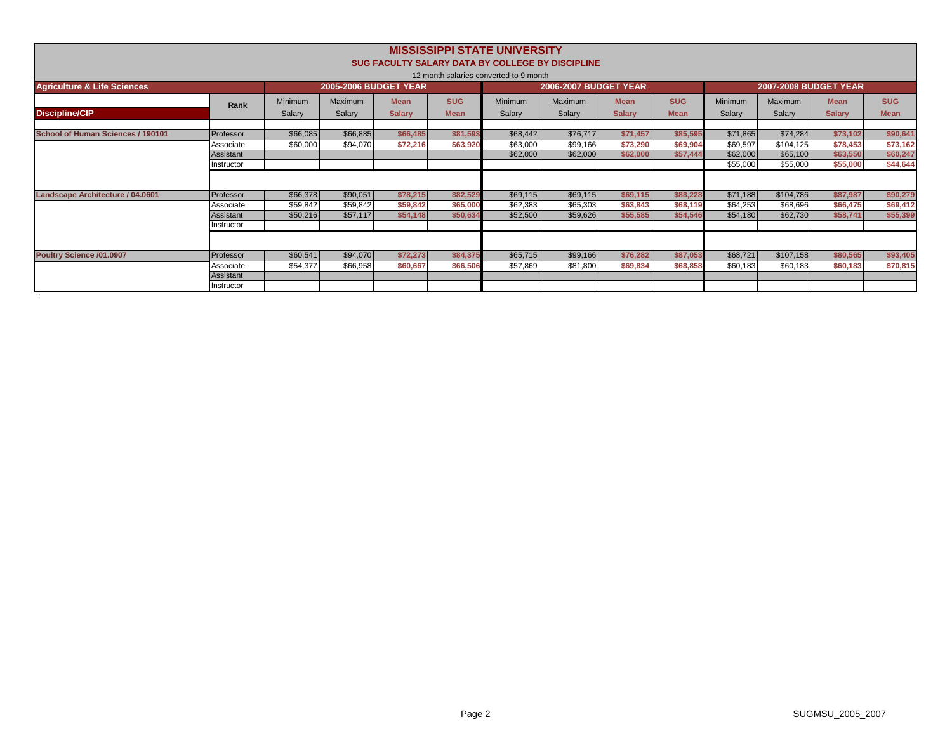|                                        |            |          |                              |               |             | <b>MISSISSIPPI STATE UNIVERSITY</b>    |                                                  |               |             |                |           |                              |             |
|----------------------------------------|------------|----------|------------------------------|---------------|-------------|----------------------------------------|--------------------------------------------------|---------------|-------------|----------------|-----------|------------------------------|-------------|
|                                        |            |          |                              |               |             |                                        | SUG FACULTY SALARY DATA BY COLLEGE BY DISCIPLINE |               |             |                |           |                              |             |
|                                        |            |          |                              |               |             | 12 month salaries converted to 9 month |                                                  |               |             |                |           |                              |             |
| <b>Agriculture &amp; Life Sciences</b> |            |          | <b>2005-2006 BUDGET YEAR</b> |               |             |                                        | <b>2006-2007 BUDGET YEAR</b>                     |               |             |                |           | <b>2007-2008 BUDGET YEAR</b> |             |
|                                        | Rank       | Minimum  | Maximum                      | <b>Mean</b>   | <b>SUG</b>  | Minimum                                | <b>Maximum</b>                                   | <b>Mean</b>   | <b>SUG</b>  | <b>Minimum</b> | Maximum   | <b>Mean</b>                  | <b>SUG</b>  |
| <b>Discipline/CIP</b>                  |            | Salary   | Salary                       | <b>Salarv</b> | <b>Mean</b> | Salary                                 | Salary                                           | <b>Salary</b> | <b>Mean</b> | Salary         | Salary    | <b>Salary</b>                | <b>Mean</b> |
|                                        |            |          |                              |               |             |                                        |                                                  |               |             |                |           |                              |             |
| School of Human Sciences / 190101      | Professor  | \$66,085 | \$66,885                     | \$66,485      | \$81,593    | \$68,442                               | \$76,717                                         | \$71,457      | \$85,595    | \$71,865       | \$74,284  | \$73,102                     | \$90,641    |
|                                        | Associate  | \$60,000 | \$94,070                     | \$72,216      | \$63,920    | \$63,000                               | \$99,166                                         | \$73,290      | \$69,904    | \$69,597       | \$104,125 | \$78,453                     | \$73,162    |
|                                        | Assistant  |          |                              |               |             | \$62,000                               | \$62,000                                         | \$62,000      | \$57,444    | \$62,000       | \$65,100  | \$63,550                     | \$60,247    |
|                                        | Instructor |          |                              |               |             |                                        |                                                  |               |             | \$55,000       | \$55,000  | \$55,000                     | \$44,644    |
|                                        |            |          |                              |               |             |                                        |                                                  |               |             |                |           |                              |             |
| Landscape Architecture / 04.0601       | Professor  | \$66,378 | \$90,051                     | \$78,215      | \$82,529    | \$69,115                               | \$69,115                                         | \$69,115      | \$88,228    | \$71,188       | \$104,786 | \$87,987                     | \$90,279    |
|                                        | Associate  | \$59,842 | \$59,842                     | \$59,842      | \$65,000    | \$62,383                               | \$65,303                                         | \$63,843      | \$68,119    | \$64,253       | \$68,696  | \$66,475                     | \$69,412    |
|                                        | Assistant  | \$50,216 | \$57,117                     | \$54,148      | \$50,634    | \$52,500                               | \$59,626                                         | \$55,585      | \$54,546    | \$54,180       | \$62,730  | \$58.741                     | \$55,399    |
|                                        | Instructor |          |                              |               |             |                                        |                                                  |               |             |                |           |                              |             |
|                                        |            |          |                              |               |             |                                        |                                                  |               |             |                |           |                              |             |
| <b>Poultry Science /01.0907</b>        | Professor  | \$60,541 | \$94,070                     | \$72,273      | \$84,375    | \$65,715                               | \$99,166                                         | \$76,282      | \$87,053    | \$68,721       | \$107,158 | \$80,565                     | \$93,405    |
|                                        | Associate  | \$54,377 | \$66,958                     | \$60,667      | \$66,506    | \$57,869                               | \$81,800                                         | \$69,834      | \$68,858    | \$60,183       | \$60,183  | \$60,183                     | \$70,815    |
|                                        | Assistant  |          |                              |               |             |                                        |                                                  |               |             |                |           |                              |             |
|                                        | Instructor |          |                              |               |             |                                        |                                                  |               |             |                |           |                              |             |
|                                        |            |          |                              |               |             |                                        |                                                  |               |             |                |           |                              |             |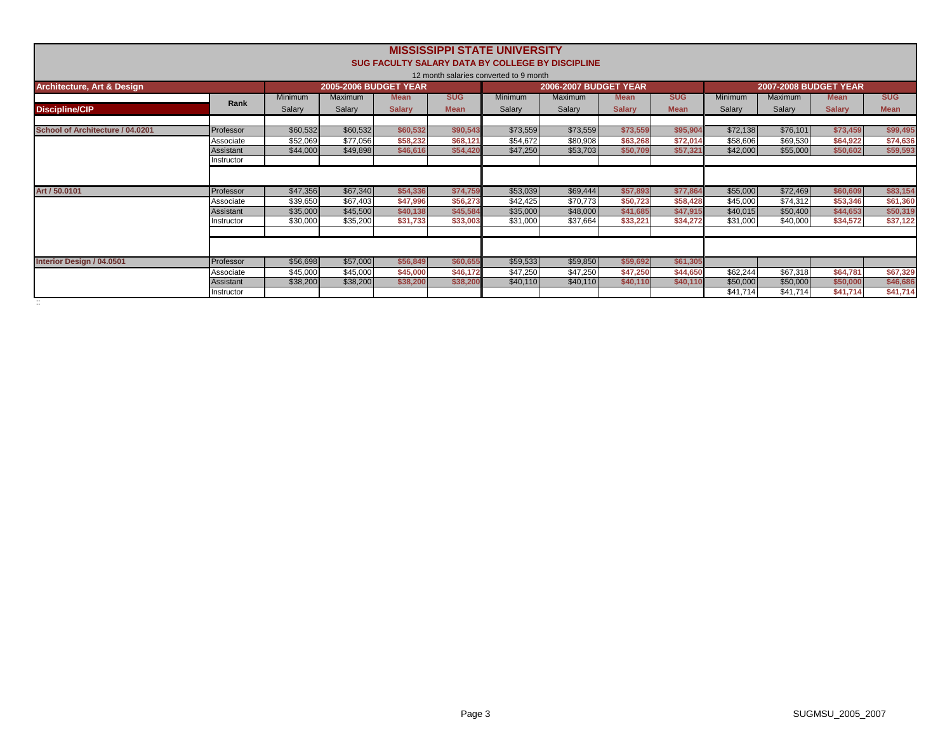|                                       |            |          |                              |               |             | <b>MISSISSIPPI STATE UNIVERSITY</b>    |                                                  |               |             |          |                              |               |             |
|---------------------------------------|------------|----------|------------------------------|---------------|-------------|----------------------------------------|--------------------------------------------------|---------------|-------------|----------|------------------------------|---------------|-------------|
|                                       |            |          |                              |               |             |                                        | SUG FACULTY SALARY DATA BY COLLEGE BY DISCIPLINE |               |             |          |                              |               |             |
|                                       |            |          |                              |               |             | 12 month salaries converted to 9 month |                                                  |               |             |          |                              |               |             |
| <b>Architecture, Art &amp; Design</b> |            |          | <b>2005-2006 BUDGET YEAR</b> |               |             |                                        | <b>2006-2007 BUDGET YEAR</b>                     |               |             |          | <b>2007-2008 BUDGET YEAR</b> |               |             |
|                                       |            | Minimum  | Maximum                      | <b>Mean</b>   | <b>SUG</b>  | <b>Minimum</b>                         | <b>Maximum</b>                                   | <b>Mean</b>   | <b>SUG</b>  | Minimum  | Maximum                      | <b>Mean</b>   | <b>SUG</b>  |
| <b>Discipline/CIP</b>                 | Rank       | Salary   | Salary                       | <b>Salarv</b> | <b>Mean</b> | Salary                                 | Salary                                           | <b>Salary</b> | <b>Mean</b> | Salarv   | Salary                       | <b>Salary</b> | <b>Mean</b> |
|                                       |            |          |                              |               |             |                                        |                                                  |               |             |          |                              |               |             |
| School of Architecture / 04.0201      | Professor  | \$60,532 | \$60,532                     | \$60,532      | \$90,543    | \$73,559                               | \$73,559                                         | \$73,559      | \$95,904    | \$72,138 | \$76,101                     | \$73.459      | \$99,495    |
|                                       | Associate  | \$52,069 | \$77,056                     | \$58,232      | \$68,121    | \$54,672                               | \$80,908                                         | \$63,268      | \$72,014    | \$58,606 | \$69,530                     | \$64,922      | \$74,636    |
|                                       | Assistant  | \$44,000 | \$49,898                     | \$46,616      | \$54,420    | \$47,250                               | \$53,703                                         | \$50,709      | \$57,321    | \$42,000 | \$55,000                     | \$50,602      | \$59,593    |
|                                       | Instructor |          |                              |               |             |                                        |                                                  |               |             |          |                              |               |             |
|                                       |            |          |                              |               |             |                                        |                                                  |               |             |          |                              |               |             |
| Art / 50,0101                         | Professor  | \$47,356 | \$67,340                     | \$54,336      | \$74,759    | \$53,039                               | \$69,444                                         | \$57,893      | \$77.864    | \$55,000 | \$72,469                     | \$60,609      | \$83,154    |
|                                       | Associate  | \$39,650 | \$67,403                     | \$47,996      | \$56,273    | \$42,425                               | \$70,773                                         | \$50,723      | \$58,428    | \$45,000 | \$74,312                     | \$53,346      | \$61,360    |
|                                       | Assistant  | \$35,000 | \$45,500                     | \$40,138      | \$45,584    | \$35,000                               | \$48,000                                         | \$41,685      | \$47,915    | \$40,015 | \$50,400                     | \$44,653      | \$50,319    |
|                                       | Instructor | \$30,000 | \$35,200                     | \$31,733      | \$33,003    | \$31,000                               | \$37,664                                         | \$33,221      | \$34,272    | \$31,000 | \$40,000                     | \$34,572      | \$37,122    |
|                                       |            |          |                              |               |             |                                        |                                                  |               |             |          |                              |               |             |
|                                       |            |          |                              |               |             |                                        |                                                  |               |             |          |                              |               |             |
| Interior Design / 04.0501             | Professor  | \$56,698 | \$57,000                     | \$56,849      | \$60,655    | \$59,533                               | \$59,850                                         | \$59,692      | \$61,305    |          |                              |               |             |
|                                       | Associate  | \$45,000 | \$45,000                     | \$45,000      | \$46,172    | \$47,250                               | \$47,250                                         | \$47,250      | \$44,650    | \$62,244 | \$67,318                     | \$64,781      | \$67,329    |
|                                       | Assistant  | \$38,200 | \$38,200                     | \$38,200      | \$38,200    | \$40,110                               | \$40,110                                         | \$40,110      | \$40,110    | \$50,000 | \$50,000                     | \$50,000      | \$46,686    |
|                                       | Instructor |          |                              |               |             |                                        |                                                  |               |             | \$41.714 | \$41,714                     | \$41,714      | \$41,714    |
| $\ddotsc$                             |            |          |                              |               |             |                                        |                                                  |               |             |          |                              |               |             |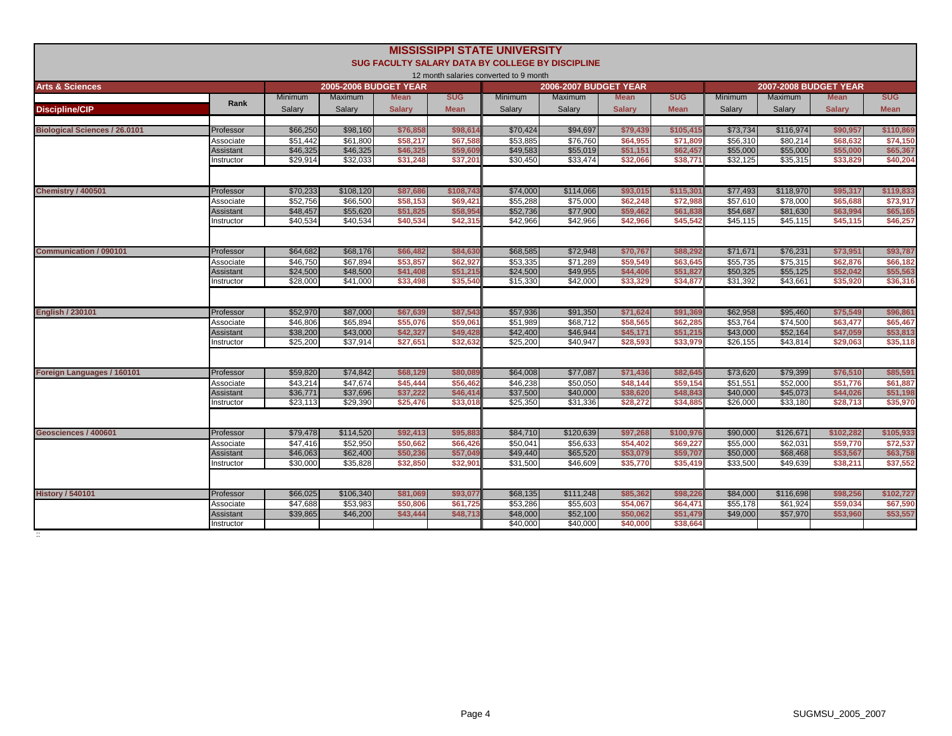|                                      |                        |                      |                              |                      |                     | <b>MISSISSIPPI STATE UNIVERSITY</b>    |                                                  |                      |                     |                      |                              |                      |                      |
|--------------------------------------|------------------------|----------------------|------------------------------|----------------------|---------------------|----------------------------------------|--------------------------------------------------|----------------------|---------------------|----------------------|------------------------------|----------------------|----------------------|
|                                      |                        |                      |                              |                      |                     |                                        | SUG FACULTY SALARY DATA BY COLLEGE BY DISCIPLINE |                      |                     |                      |                              |                      |                      |
|                                      |                        |                      |                              |                      |                     | 12 month salaries converted to 9 month |                                                  |                      |                     |                      |                              |                      |                      |
| <b>Arts &amp; Sciences</b>           |                        |                      | <b>2005-2006 BUDGET YEAR</b> |                      |                     |                                        | <b>2006-2007 BUDGET YEAR</b>                     |                      |                     |                      | <b>2007-2008 BUDGET YEAR</b> |                      |                      |
|                                      | Rank                   | <b>Minimum</b>       | Maximum                      | <b>Mean</b>          | <b>SUG</b>          | <b>Minimum</b>                         | Maximum                                          | <b>Mean</b>          | <b>SUG</b>          | <b>Minimum</b>       | <b>Maximum</b>               | <b>Mean</b>          | <b>SUG</b>           |
| <b>Discipline/CIP</b>                |                        | Salary               | Salary                       | <b>Salarv</b>        | <b>Mean</b>         | Salarv                                 | Salary                                           | <b>Salary</b>        | <b>Mean</b>         | Salarv               | Salary                       | <b>Salary</b>        | <b>Mean</b>          |
| <b>Biological Sciences / 26.0101</b> | Professor              | \$66,250             | \$98,160                     | \$76,858             | \$98,61             | \$70,424                               | \$94,697                                         | \$79,439             | \$105,415           | \$73,734             | \$116,974                    | \$90,957             | \$110,869            |
|                                      | Associate              | \$51,442             | \$61,800                     | \$58,217             | \$67,588            | \$53,885                               | \$76,760                                         | \$64,955             | \$71,80             | \$56,310             | \$80,214                     | \$68,632             | \$74,150             |
|                                      | Assistant              | \$46,325             | \$46,325                     | \$46,325             | \$59,60             | \$49.583                               | \$55,019                                         | \$51.151             | \$62,457            | \$55,000             | \$55,000                     | \$55,000             | \$65,367             |
|                                      | nstructor              | \$29,914             | \$32.033                     | \$31,248             | \$37.20             | \$30,450                               | \$33,474                                         | \$32.066             | \$38,771            | \$32,125             | \$35,315                     | \$33,829             | \$40,204             |
|                                      |                        |                      |                              |                      |                     |                                        |                                                  |                      |                     |                      |                              |                      |                      |
|                                      |                        |                      |                              |                      |                     |                                        |                                                  |                      |                     |                      |                              |                      |                      |
| Chemistry / 400501                   | Professor              | \$70,233             | \$108,120                    | \$87,686             | \$108,743           | \$74,000                               | \$114,066                                        | \$93,015             | \$115,30            | \$77,493             | \$118,970                    | \$95,317             | \$119,833            |
|                                      | Associate              | \$52,756             | \$66,500                     | \$58,153             | \$69,421            | \$55,288                               | \$75,000                                         | \$62,248             | \$72,988            | \$57,610             | \$78,000                     | \$65,688             | \$73,917             |
|                                      | Assistant              | \$48,457             | \$55.620                     | \$51,825             | \$58,954            | \$52.736                               | \$77,900                                         | \$59,462             | \$61,83             | \$54,687             | \$81.630                     | \$63,994             | \$65,165             |
|                                      | nstructor              | \$40,534             | \$40,534                     | \$40,534             | \$42.31             | \$42,966                               | $\overline{$}42,966$                             | \$42.966             | \$45,542            | \$45,115             | \$45,115                     | \$45,115             | \$46,257             |
|                                      |                        |                      |                              |                      |                     |                                        |                                                  |                      |                     |                      |                              |                      |                      |
| <b>Communication / 090101</b>        | Professor              | \$64,682             | \$68,176                     | \$66,482             | \$84,63             | \$68,585                               | \$72,948                                         | \$70,767             | \$88,29             | \$71,671             | \$76,231                     | \$73,95'             | \$93,787             |
|                                      | Associate              | \$46,750             | \$67,894                     | \$53,857             | \$62,927            | \$53,335                               | \$71,289                                         | \$59,549             | \$63,64             | \$55,735             | \$75,315                     | \$62,876             | \$66,182             |
|                                      | Assistant              | \$24,500             | \$48,500                     | \$41,408             | \$51,21             | \$24,500                               | \$49,955                                         | \$44,406             | \$51,82             | \$50,325             | \$55,125                     | \$52,042             | \$55,563             |
|                                      | nstructor              | \$28,000             | \$41,000                     | \$33,498             | \$35,540            | \$15,330                               | \$42,000                                         | \$33,329             | \$34,877            | \$31,392             | \$43,661                     | \$35,920             | \$36,316             |
|                                      |                        |                      |                              |                      |                     |                                        |                                                  |                      |                     |                      |                              |                      |                      |
| <b>English / 230101</b>              | Professor              | \$52,970             | \$87,000                     | \$67,639             | \$87,54             | \$57,936                               | \$91,350                                         | \$71,624             | \$91,36             | \$62,958             | \$95,460                     | \$75,549             | \$96,861             |
|                                      | Associate              | \$46,806             | \$65,894                     | \$55,076             | \$59.06             | \$51,989                               | \$68,712                                         | \$58,565             | \$62,28             | \$53.764             | \$74.500                     | \$63,477             | \$65,467             |
|                                      | Assistant              | \$38,200             | \$43,000                     | \$42,327             | \$49,428            | \$42,400                               | \$46,944                                         | \$45.171             | \$51.21             | \$43,000             | \$52.164                     | \$47,059             | \$53,813             |
|                                      | nstructor              | \$25,200             | \$37,914                     | \$27,651             | \$32,632            | \$25,200                               | \$40,947                                         | \$28,593             | \$33,97             | \$26,155             | \$43,814                     | \$29,063             | \$35,118             |
|                                      |                        |                      |                              |                      |                     |                                        |                                                  |                      |                     |                      |                              |                      |                      |
| Foreign Languages / 160101           | Professor              | \$59,820             | \$74,842                     | \$68,129             | \$80,089            | \$64,008                               | \$77,087                                         | \$71,436             | \$82,64             | \$73,620             | \$79,399                     | \$76,510             | \$85,591             |
|                                      | Associate              | \$43,214             | \$47,674                     | \$45,444             | \$56,462            | \$46,238                               | \$50,050                                         | \$48,144             | \$59,15             | \$51,551             | \$52,000                     | \$51,776             | \$61,887             |
|                                      | Assistant              | \$36,771             | \$37,696                     | \$37,222             | \$46,41             | \$37,500                               | \$40,000                                         | \$38,620             | \$48,84             | \$40,000             | \$45,073                     | \$44,026             | \$51,198             |
|                                      | nstructor              | \$23,113             | \$29,390                     | \$25,476             | \$33,01             | \$25,350                               | \$31,336                                         | \$28,272             | \$34,88             | \$26,000             | \$33,180                     | \$28,713             | \$35,970             |
|                                      |                        |                      |                              |                      |                     |                                        |                                                  |                      |                     |                      |                              |                      |                      |
|                                      |                        |                      |                              |                      |                     |                                        |                                                  |                      |                     |                      |                              |                      |                      |
| Geosciences / 400601                 | Professor              | \$79,478             | \$114,520<br>\$52,950        | \$92,413             | \$95,883            | \$84,710<br>\$50.041                   | \$120,639                                        | \$97,268<br>\$54,402 | \$100,97            | \$90,000             | \$126,671                    | \$102,282            | \$105,933            |
|                                      | Associate<br>Assistant | \$47,416<br>\$46,063 | \$62,400                     | \$50.662<br>\$50,236 | \$66,42<br>\$57,049 | \$49,440                               | \$56.633<br>\$65,520                             | \$53,079             | \$69,22<br>\$59,707 | \$55,000<br>\$50,000 | \$62,031<br>\$68,468         | \$59,770<br>\$53,567 | \$72,537<br>\$63,758 |
|                                      | nstructor              | \$30,000             | \$35,828                     | \$32,850             | \$32.90             | \$31,500                               | \$46,609                                         | \$35,770             | \$35,41             | \$33,500             | \$49,639                     | \$38,211             | \$37,552             |
|                                      |                        |                      |                              |                      |                     |                                        |                                                  |                      |                     |                      |                              |                      |                      |
|                                      |                        |                      |                              |                      |                     |                                        |                                                  |                      |                     |                      |                              |                      |                      |
| <b>History / 540101</b>              | Professor              | \$66,025             | \$106,340                    | \$81.069             | \$93,077            | \$68,135                               | \$111,248                                        | \$85,362             | \$98,22             | \$84,000             | \$116,698                    | \$98,256             | \$102,727            |
|                                      | Associate              | \$47.688             | \$53.983                     | \$50,806             | \$61,725            | \$53,286                               | \$55,603                                         | \$54.067             | \$64.47             | \$55.178             | \$61.924                     | \$59,034             | \$67,590             |
|                                      | Assistant              | \$39,865             | \$46,200                     | \$43,444             | \$48,713            | \$48,000<br>\$40,000                   | \$52,100                                         | \$50,062<br>\$40,000 | \$51,47<br>\$38,664 | \$49,000             | \$57,970                     | \$53,960             | \$53,557             |
|                                      | nstructor              |                      |                              |                      |                     |                                        | \$40,000                                         |                      |                     |                      |                              |                      |                      |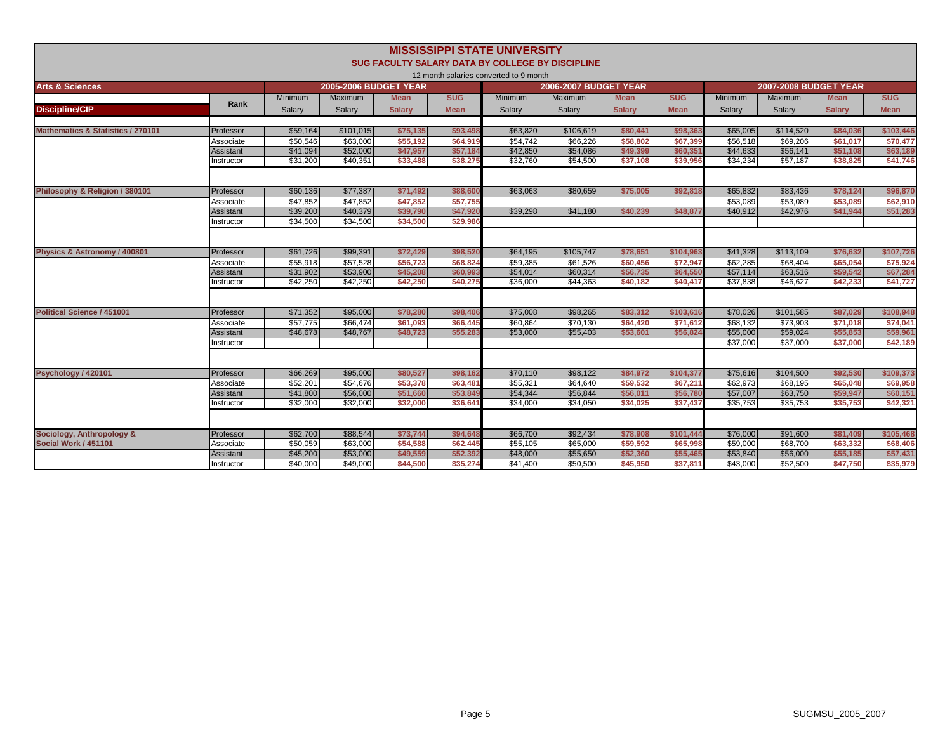|                                              |                        |                      |                              |                      |                      | <b>MISSISSIPPI STATE UNIVERSITY</b><br>SUG FACULTY SALARY DATA BY COLLEGE BY DISCIPLINE |                              |                      |                      |                      |                              |                      |                      |
|----------------------------------------------|------------------------|----------------------|------------------------------|----------------------|----------------------|-----------------------------------------------------------------------------------------|------------------------------|----------------------|----------------------|----------------------|------------------------------|----------------------|----------------------|
|                                              |                        |                      |                              |                      |                      | 12 month salaries converted to 9 month                                                  |                              |                      |                      |                      |                              |                      |                      |
| <b>Arts &amp; Sciences</b>                   |                        |                      | <b>2005-2006 BUDGET YEAR</b> |                      |                      |                                                                                         | <b>2006-2007 BUDGET YEAR</b> |                      |                      |                      | <b>2007-2008 BUDGET YEAR</b> |                      |                      |
|                                              | Rank                   | <b>Minimum</b>       | <b>Maximum</b>               | <b>Mean</b>          | <b>SUG</b>           | <b>Minimum</b>                                                                          | <b>Maximum</b>               | <b>Mean</b>          | <b>SUG</b>           | <b>Minimum</b>       | <b>Maximum</b>               | <b>Mean</b>          | <b>SUG</b>           |
| <b>Discipline/CIP</b>                        |                        | Salary               | Salary                       | <b>Salarv</b>        | <b>Mean</b>          | Salary                                                                                  | Salary                       | <b>Salarv</b>        | <b>Mean</b>          | Salary               | Salary                       | <b>Salarv</b>        | <b>Mean</b>          |
|                                              |                        |                      |                              |                      |                      |                                                                                         |                              |                      |                      |                      |                              |                      |                      |
| <b>Mathematics &amp; Statistics / 270101</b> | Professor              | \$59,164             | \$101,015                    | \$75,135             | \$93,498             | \$63,820                                                                                | \$106,619                    | \$80,441             | \$98,363             | \$65,005             | \$114,520                    | \$84,036             | \$103,446            |
|                                              | Associate              | \$50,546<br>\$41,094 | \$63,000<br>\$52,000         | \$55,192<br>\$47,957 | \$64,919<br>\$57.184 | \$54,742<br>\$42,850                                                                    | \$66,226<br>\$54,086         | \$58,802<br>\$49,399 | \$67,399<br>\$60,351 | \$56,518<br>\$44,633 | \$69,206<br>\$56,141         | \$61,017<br>\$51,108 | \$70,477<br>\$63,189 |
|                                              | Assistant<br>nstructor | \$31,200             | \$40,351                     | \$33,488             | \$38,275             | \$32,760                                                                                | \$54,500                     | \$37,108             | \$39,95              | \$34,234             | \$57,187                     | \$38,825             | \$41,746             |
|                                              |                        |                      |                              |                      |                      |                                                                                         |                              |                      |                      |                      |                              |                      |                      |
|                                              |                        |                      |                              |                      |                      |                                                                                         |                              |                      |                      |                      |                              |                      |                      |
| Philosophy & Religion / 380101               | Professor              | \$60,136             | \$77,387                     | \$71,492             | \$88,600             | \$63,063                                                                                | \$80,659                     | \$75,005             | \$92.818             | \$65,832             | \$83,436                     | \$78,124             | \$96,870             |
|                                              | Associate              | \$47,852             | \$47,852                     | \$47,852             | \$57,755             |                                                                                         |                              |                      |                      | \$53,089             | \$53,089                     | \$53,089             | \$62,910             |
|                                              | Assistant              | \$39,200             | \$40,379                     | \$39,790             | \$47,920             | \$39,298                                                                                | \$41,180                     | \$40,239             | \$48,877             | \$40,912             | \$42,976                     | \$41,944             | \$51,283             |
|                                              | nstructor              | \$34,500             | \$34,500                     | \$34,500             | \$29,986             |                                                                                         |                              |                      |                      |                      |                              |                      |                      |
|                                              |                        |                      |                              |                      |                      |                                                                                         |                              |                      |                      |                      |                              |                      |                      |
| Physics & Astronomy / 400801                 | Professor              | \$61,726             | \$99,391                     | \$72,429             | \$98,520             | \$64,195                                                                                | \$105,747                    | \$78,651             | \$104,96             | \$41,328             | \$113,109                    | \$76,632             | \$107,726            |
|                                              | Associate              | \$55,918             | \$57,528                     | \$56,723             | \$68,824             | \$59,385                                                                                | \$61,526                     | \$60,456             | \$72,947             | \$62,285             | \$68,404                     | \$65,054             | \$75,924             |
|                                              | Assistant              | \$31,902             | \$53,900                     | \$45,208             | \$60,993             | \$54,014                                                                                | \$60,314                     | \$56,735             | \$64,550             | \$57.114             | \$63,516                     | \$59,542             | \$67,284             |
|                                              | nstructor              | \$42,250             | \$42,250                     | \$42,250             | \$40,275             | \$36,000                                                                                | \$44,363                     | \$40,182             | \$40,41              | \$37,838             | \$46,627                     | \$42,233             | \$41,727             |
|                                              |                        |                      |                              |                      |                      |                                                                                         |                              |                      |                      |                      |                              |                      |                      |
| <b>Political Science / 451001</b>            | Professor              | \$71,352             | \$95,000                     | \$78,280             | \$98,406             | \$75,008                                                                                | \$98,265                     | \$83,312             | \$103,616            | \$78,026             | \$101,585                    | \$87,029             | \$108,948            |
|                                              | Associate              | \$57,775             | \$66,474                     | \$61,093             | \$66,445             | \$60,864                                                                                | \$70,130                     | \$64,420             | \$71,612             | \$68,132             | \$73,903                     | \$71,018             | \$74,04              |
|                                              | Assistant              | \$48,678             | \$48,767                     | \$48,723             | \$55,283             | \$53,000                                                                                | \$55,403                     | \$53,601             | \$56,824             | \$55,000             | \$59,024                     | \$55,853             | \$59,96              |
|                                              | nstructor              |                      |                              |                      |                      |                                                                                         |                              |                      |                      | \$37,000             | \$37,000                     | \$37,000             | \$42,189             |
|                                              |                        |                      |                              |                      |                      |                                                                                         |                              |                      |                      |                      |                              |                      |                      |
| Psychology / 420101                          | Professor              | \$66,269             | \$95,000                     | \$80,527             | \$98,162             | \$70,110                                                                                | \$98,122                     | \$84,972             | \$104,377            | \$75,616             | \$104,500                    | \$92,530             | \$109,373            |
|                                              | Associate              | \$52,201             | \$54,676                     | \$53,378             | \$63,481             | \$55.321                                                                                | \$64,640                     | \$59,532             | \$67.21              | \$62,973             | \$68,195                     | \$65,048             | \$69,958             |
|                                              | Assistant              | \$41,800             | \$56,000                     | \$51,660             | \$53,849             | \$54,344                                                                                | \$56,844                     | \$56,011             | \$56,780             | \$57,007             | \$63,750                     | \$59,947             | \$60,151             |
|                                              | nstructor              | \$32,000             | \$32,000                     | \$32,000             | \$36,641             | \$34,000                                                                                | \$34,050                     | \$34,025             | \$37,437             | \$35,753             | \$35,753                     | \$35,753             | \$42,321             |
|                                              |                        |                      |                              |                      |                      |                                                                                         |                              |                      |                      |                      |                              |                      |                      |
| Sociology, Anthropology &                    | Professor              | \$62,700             | \$88,544                     | \$73,744             | \$94,648             | \$66,700                                                                                | \$92,434                     | \$78,908             | \$101,444            | \$76,000             | \$91,600                     | \$81,409             | \$105,468            |
| Social Work / 451101                         | Associate              | \$50,059             | \$63,000                     | \$54,588             | \$62,445             | \$55,105                                                                                | \$65,000                     | \$59,592             | \$65,998             | \$59,000             | \$68,700                     | \$63,332             | \$68,406             |
|                                              | Assistant              | \$45,200             | \$53,000                     | \$49,559             | \$52,392             | \$48,000                                                                                | \$55,650                     | \$52,360             | \$55,46              | \$53,840             | \$56,000                     | \$55,185             | \$57,431             |
|                                              | Instructor             | \$40,000             | \$49,000                     | \$44,500             | \$35,274             | \$41,400                                                                                | \$50,500                     | \$45,950             | \$37,811             | \$43,000             | \$52,500                     | \$47,750             | \$35,979             |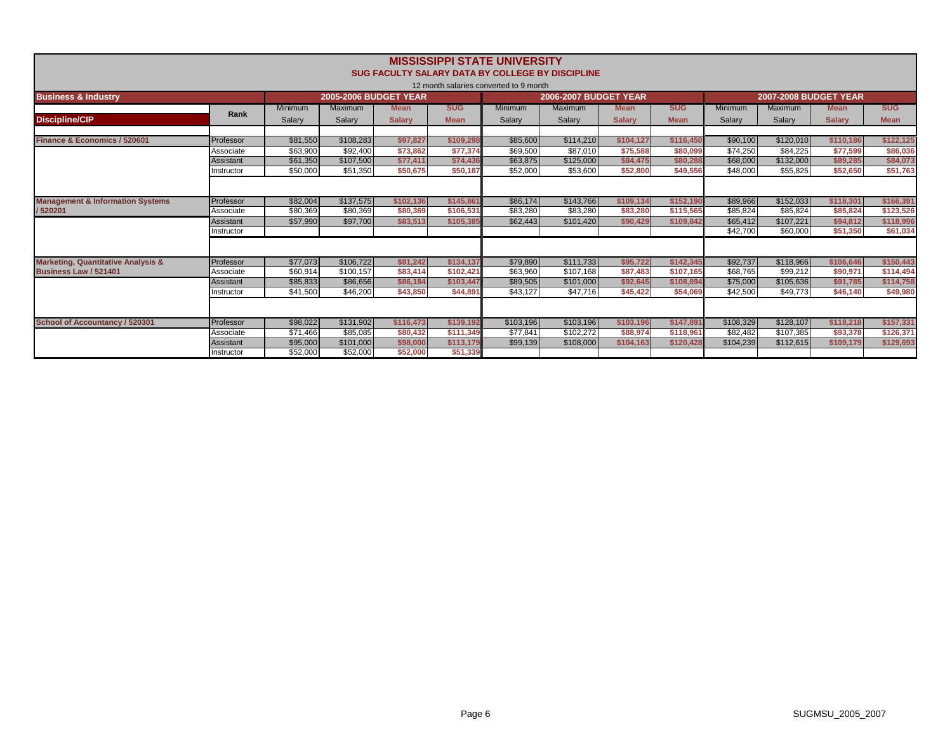|                                               |                  |          |                              |               |             | <b>MISSISSIPPI STATE UNIVERSITY</b>              |                              |               |             |                      |                              |               |             |
|-----------------------------------------------|------------------|----------|------------------------------|---------------|-------------|--------------------------------------------------|------------------------------|---------------|-------------|----------------------|------------------------------|---------------|-------------|
|                                               |                  |          |                              |               |             | SUG FACULTY SALARY DATA BY COLLEGE BY DISCIPLINE |                              |               |             |                      |                              |               |             |
|                                               |                  |          |                              |               |             | 12 month salaries converted to 9 month           |                              |               |             |                      |                              |               |             |
| <b>Business &amp; Industry</b>                |                  |          | <b>2005-2006 BUDGET YEAR</b> |               |             |                                                  | <b>2006-2007 BUDGET YEAR</b> |               |             |                      | <b>2007-2008 BUDGET YEAR</b> |               |             |
|                                               | Rank             | Minimum  | Maximum                      | <b>Mean</b>   | <b>SUG</b>  | <b>Minimum</b>                                   | Maximum                      | <b>Mean</b>   | <b>SUG</b>  | Minimum              | Maximum                      | <b>Mean</b>   | <b>SUG</b>  |
| <b>Discipline/CIP</b>                         |                  | Salary   | Salary                       | <b>Salarv</b> | <b>Mean</b> | Salary                                           | Salary                       | <b>Salarv</b> | <b>Mean</b> | Salary               | Salary                       | <b>Salarv</b> | <b>Mean</b> |
|                                               |                  |          |                              |               |             |                                                  |                              |               |             |                      |                              |               |             |
| Finance & Economics / 520601                  | Professor        | \$81,550 | \$108,283                    | \$97,827      | \$109,298   | \$85,600                                         | \$114,210                    | \$104,127     | \$116,450   | \$90,100             | \$120,010                    | \$110,186     | \$122,125   |
|                                               | Associate        | \$63,900 | \$92,400                     | \$73,862      | \$77,374    | \$69,500                                         | \$87,010                     | \$75,588      | \$80,099    | $\overline{$}74,250$ | \$84,225                     | \$77,599      | \$86,036    |
|                                               | Assistant        | \$61,350 | \$107,500                    | \$77,411      | \$74,436    | \$63,875                                         | \$125,000                    | \$84.475      | \$80,288    | \$68,000             | \$132,000                    | \$89,285      | \$84,073    |
|                                               | Instructor       | \$50,000 | \$51,350                     | \$50.675      | \$50,187    | \$52,000                                         | \$53,600                     | \$52,800      | \$49,556    | \$48,000             | \$55,825                     | \$52,650      | \$51,763    |
|                                               |                  |          |                              |               |             |                                                  |                              |               |             |                      |                              |               |             |
| <b>Management &amp; Information Systems</b>   | Professor        | \$82,004 | \$137,575                    | \$102.136     | \$145.861   | \$86,174                                         | \$143,766                    | \$109.134     | \$152,190   | \$89,966             | \$152,033                    | \$118.301     | \$166,391   |
| /520201                                       | Associate        | \$80,369 | \$80,369                     | \$80,369      | \$106.531   | \$83,280                                         | \$83,280                     | \$83,280      | \$115,565   | \$85,824             | \$85,824                     | \$85,824      | \$123,526   |
|                                               | <b>Assistant</b> | \$57,990 | \$97,700                     | \$83,513      | \$105,385   | \$62,443                                         | \$101,420                    | \$90,429      | \$109.842   | \$65,412             | \$107.221                    | \$94,812      | \$118,996   |
|                                               | Instructor       |          |                              |               |             |                                                  |                              |               |             | \$42,700             | \$60,000                     | \$51,350      | \$61,034    |
|                                               |                  |          |                              |               |             |                                                  |                              |               |             |                      |                              |               |             |
| <b>Marketing, Quantitative Analysis &amp;</b> | Professor        | \$77.073 | \$106.722                    | \$91.242      | \$134.137   | \$79.890                                         | \$111.733                    | \$95.722      | \$142.345   | \$92,737             | \$118,966                    | \$106.646     | \$150,443   |
| Business Law / 521401                         | Associate        | \$60,914 | \$100.157                    | \$83,414      | \$102.421   | \$63,960                                         | \$107,168                    | \$87,483      | \$107.165   | \$68,765             | \$99.212                     | \$90.971      | \$114,494   |
|                                               | Assistant        | \$85.833 | \$86,656                     | \$86,184      | \$103.447   | \$89.505                                         | \$101.000                    | \$92.645      | \$108.894   | \$75,000             | \$105.636                    | \$91.785      | \$114.758   |
|                                               | Instructor       | \$41,500 | \$46,200                     | \$43,850      | \$44.891    | \$43,127                                         | \$47,716                     | \$45,422      | \$54,069    | \$42,500             | \$49,773                     | \$46,140      | \$49,980    |
|                                               |                  |          |                              |               |             |                                                  |                              |               |             |                      |                              |               |             |
| School of Accountancy / 520301                | Professor        | \$98,022 | \$131,902                    | \$116,473     | \$139.192   | \$103,196                                        | \$103,196                    | \$103,196     | \$147.891   | \$108,329            | \$128,107                    | \$118,218     | \$157,331   |
|                                               | Associate        | \$71.466 | \$85,085                     | \$80,432      | \$111,349   | \$77.841                                         | \$102.272                    | \$88,974      | \$118,961   | \$82.482             | \$107,385                    | \$93,378      | \$126,371   |
|                                               | Assistant        | \$95,000 | \$101,000                    | \$98,000      | \$113,179   | \$99,139                                         | \$108,000                    | \$104,163     | \$120.428   | \$104,239            | \$112.615                    | \$109,179     | \$129,693   |
|                                               | Instructor       | \$52,000 | \$52,000                     | \$52,000      | \$51,339    |                                                  |                              |               |             |                      |                              |               |             |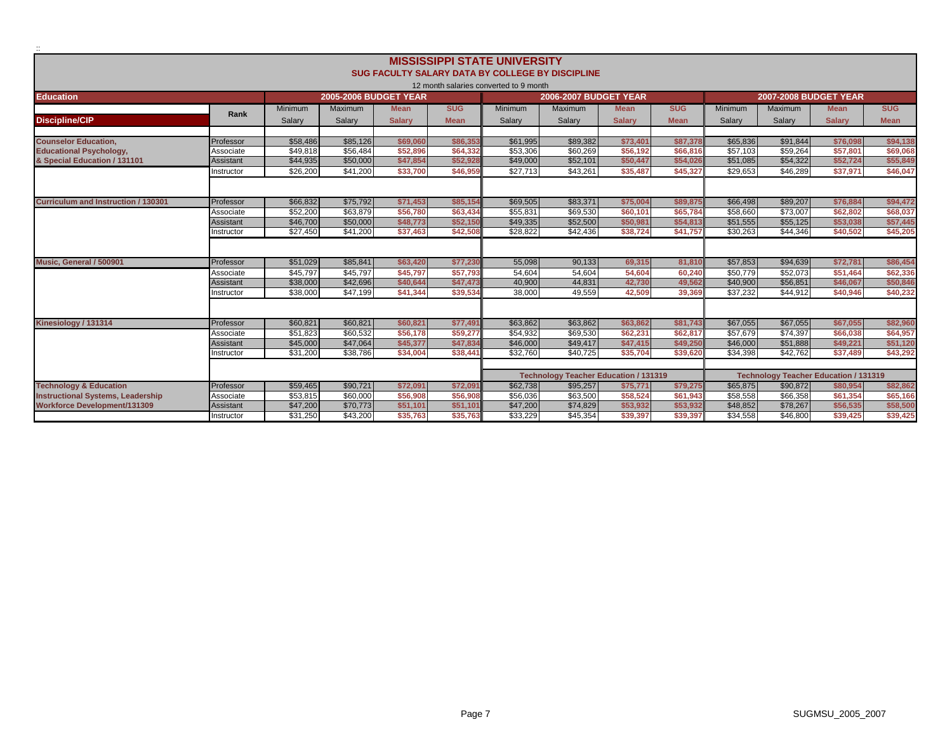|                                                                                 |            |                      |                              |                      |                      | <b>MISSISSIPPI STATE UNIVERSITY</b>                     |                                              |                      |                      |                      |                              |                                              |                      |
|---------------------------------------------------------------------------------|------------|----------------------|------------------------------|----------------------|----------------------|---------------------------------------------------------|----------------------------------------------|----------------------|----------------------|----------------------|------------------------------|----------------------------------------------|----------------------|
|                                                                                 |            |                      |                              |                      |                      | <b>SUG FACULTY SALARY DATA BY COLLEGE BY DISCIPLINE</b> |                                              |                      |                      |                      |                              |                                              |                      |
|                                                                                 |            |                      |                              |                      |                      | 12 month salaries converted to 9 month                  |                                              |                      |                      |                      |                              |                                              |                      |
| <b>Education</b>                                                                |            |                      | <b>2005-2006 BUDGET YEAR</b> |                      |                      |                                                         | <b>2006-2007 BUDGET YEAR</b>                 |                      |                      |                      | <b>2007-2008 BUDGET YEAR</b> |                                              |                      |
|                                                                                 |            | Minimum              | Maximum                      | <b>Mean</b>          | <b>SUG</b>           | <b>Minimum</b>                                          | <b>Maximum</b>                               | <b>Mean</b>          | <b>SUG</b>           | Minimum              | Maximum                      | <b>Mean</b>                                  | <b>SUG</b>           |
|                                                                                 | Rank       | Salarv               | Salarv                       | <b>Salarv</b>        | <b>Mean</b>          | Salarv                                                  | Salarv                                       | <b>Salarv</b>        | <b>Mean</b>          | Salarv               | Salary                       | <b>Salarv</b>                                | <b>Mean</b>          |
| <b>Discipline/CIP</b>                                                           |            |                      |                              |                      |                      |                                                         |                                              |                      |                      |                      |                              |                                              |                      |
| <b>Counselor Education.</b>                                                     | Professor  | \$58,486             | \$85,126                     | \$69,060             | \$86,353             | \$61.995                                                | \$89.382                                     | \$73.401             | \$87,378             | \$65,836             | \$91.844                     | \$76,098                                     | \$94,138             |
| <b>Educational Psychology,</b>                                                  | Associate  | \$49.818             | \$56,484                     | \$52,896             | \$64,332             | \$53,306                                                | \$60,269                                     | \$56.192             | \$66,81              | \$57,103             | \$59.264                     | \$57.801                                     | \$69,068             |
| & Special Education / 131101                                                    | Assistant  | \$44,935             | \$50,000                     | \$47,854             | \$52,928             | \$49,000                                                | \$52,101                                     | \$50.447             | \$54,026             | \$51,085             | \$54,322                     | \$52,724                                     | \$55,849             |
|                                                                                 | nstructor  | \$26,200             | \$41,200                     | \$33,700             | \$46,959             | \$27,713                                                | $\overline{$43,261}$                         | \$35.487             | \$45,327             | \$29,653             | \$46,289                     | \$37,971                                     | \$46,047             |
|                                                                                 |            |                      |                              |                      |                      |                                                         |                                              |                      |                      |                      |                              |                                              |                      |
|                                                                                 |            |                      |                              |                      |                      |                                                         |                                              |                      |                      |                      |                              |                                              |                      |
| <b>Curriculum and Instruction / 130301</b>                                      | Professor  | \$66,832             | \$75,792                     | \$71,453             | \$85.154             | \$69,505                                                | \$83.371                                     | \$75.004             | \$89,875             | \$66,498             | \$89,207                     | \$76.884                                     | \$94,472             |
|                                                                                 | Associate  | \$52,200             | \$63,879                     | \$56,780             | \$63,434             | \$55,831                                                | \$69,530                                     | \$60,101             | \$65,784             | \$58,660             | \$73,007                     | \$62,802                                     | \$68,037             |
|                                                                                 | Assistant  | \$46,700             | \$50,000                     | \$48,773             | \$52,150             | \$49,335                                                | \$52,500                                     | \$50.981             | \$54,813             | \$51,555             | \$55.125                     | \$53,038                                     | \$57,445             |
|                                                                                 | nstructor  | \$27,450             | \$41,200                     | \$37,463             | \$42,508             | \$28,822                                                | \$42,436                                     | \$38,724             | \$41,757             | \$30,263             | \$44,346                     | \$40,502                                     | \$45,205             |
|                                                                                 |            |                      |                              |                      |                      |                                                         |                                              |                      |                      |                      |                              |                                              |                      |
|                                                                                 |            |                      |                              |                      |                      |                                                         |                                              |                      |                      |                      |                              |                                              |                      |
| Music. General / 500901                                                         | Professor  | \$51,029             | \$85,841                     | \$63,420             | \$77,230             | 55,098                                                  | 90,133                                       | 69,315               | 81,810               | \$57,853             | \$94,639                     | \$72,781                                     | \$86,454             |
|                                                                                 | Associate  | \$45,797             | \$45,797                     | \$45,797             | \$57,793             | 54,604                                                  | 54,604                                       | 54,604               | 60,240               | \$50,779             | \$52,073                     | \$51,464                                     | \$62,336             |
|                                                                                 | Assistant  | \$38,000             | \$42,696                     | \$40,644             | \$47,473             | 40,900                                                  | 44,831                                       | 42,730               | 49,562               | \$40,900             | \$56,851                     | \$46,067                                     | \$50,846             |
|                                                                                 | nstructor  | \$38,000             | $\overline{$}47,199$         | \$41,344             | \$39,534             | 38,000                                                  | 49,559                                       | 42.509               | 39.369               | \$37.232             | \$44,912                     | \$40.946                                     | \$40,232             |
|                                                                                 |            |                      |                              |                      |                      |                                                         |                                              |                      |                      |                      |                              |                                              |                      |
|                                                                                 |            |                      |                              |                      |                      |                                                         |                                              |                      |                      |                      |                              |                                              |                      |
| Kinesiology / 131314                                                            | Professor  | \$60,821             | \$60,821                     | \$60,821             | \$77,491             | \$63,862                                                | \$63,862                                     | \$63,862             | \$81.743             | \$67,055             | \$67,055                     | \$67,055                                     | \$82,960             |
|                                                                                 | Associate  | \$51.823             | \$60,532                     | \$56,178             | \$59,277             | \$54,932                                                | \$69,530                                     | \$62,231             | \$62,81              | \$57.679             | \$74,397                     | \$66,038                                     | \$64,957             |
|                                                                                 | Assistant  | \$45,000<br>\$31,200 | \$47,064<br>\$38,786         | \$45,377<br>\$34,004 | \$47,834<br>\$38,44' | \$46,000<br>\$32,760                                    | \$49.417<br>\$40,725                         | \$47.415<br>\$35,704 | \$49,250<br>\$39,620 | \$46,000<br>\$34,398 | \$51.888<br>\$42,762         | \$49,221<br>\$37,489                         | \$51,120<br>\$43,292 |
|                                                                                 | nstructor  |                      |                              |                      |                      |                                                         |                                              |                      |                      |                      |                              |                                              |                      |
|                                                                                 |            |                      |                              |                      |                      |                                                         |                                              |                      |                      |                      |                              |                                              |                      |
|                                                                                 |            |                      |                              |                      |                      |                                                         | <b>Technology Teacher Education / 131319</b> |                      |                      |                      |                              | <b>Technology Teacher Education / 131319</b> |                      |
| <b>Technology &amp; Education</b>                                               | Professor  | \$59,465             | \$90.721                     | \$72.091             | \$72.091             | \$62,738                                                | \$95,257                                     | \$75.771             | \$79,275             | \$65,875             | \$90,872                     | \$80,954                                     | \$82,862             |
| <b>Instructional Systems, Leadership</b><br><b>Workforce Development/131309</b> | Associate  | \$53,815<br>\$47,200 | \$60,000<br>\$70,773         | \$56,908<br>\$51.101 | \$56,908<br>\$51,101 | \$56,036<br>\$47,200                                    | \$63.500<br>\$74.829                         | \$58,524<br>\$53.932 | \$61,94<br>\$53,932  | \$58,558<br>\$48,852 | \$66,358<br>\$78,267         | \$61,354<br>\$56,535                         | \$65,166<br>\$58,500 |
|                                                                                 | Assistant  |                      | \$43,200                     | \$35.763             | \$35.763             | \$33.229                                                |                                              |                      | \$39,397             | \$34,558             | \$46,800                     | \$39,425                                     |                      |
|                                                                                 | Instructor | \$31,250             |                              |                      |                      |                                                         | \$45,354                                     | \$39,397             |                      |                      |                              |                                              | \$39,425             |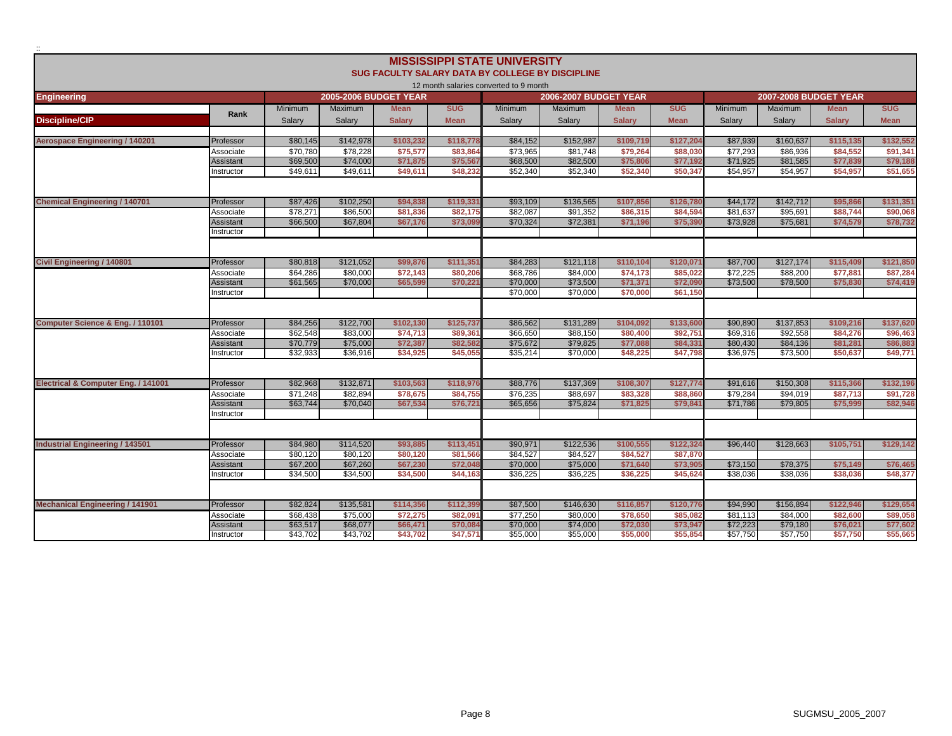|                                        |                        |          |                              |               |             | <b>MISSISSIPPI STATE UNIVERSITY</b>    |                                                         |               |             |                |                              |               |             |
|----------------------------------------|------------------------|----------|------------------------------|---------------|-------------|----------------------------------------|---------------------------------------------------------|---------------|-------------|----------------|------------------------------|---------------|-------------|
|                                        |                        |          |                              |               |             |                                        | <b>SUG FACULTY SALARY DATA BY COLLEGE BY DISCIPLINE</b> |               |             |                |                              |               |             |
|                                        |                        |          | <b>2005-2006 BUDGET YEAR</b> |               |             | 12 month salaries converted to 9 month | <b>2006-2007 BUDGET YEAR</b>                            |               |             |                | <b>2007-2008 BUDGET YEAR</b> |               |             |
| <b>Engineering</b>                     |                        | Minimum  | <b>Maximum</b>               | <b>Mean</b>   | <b>SUG</b>  | <b>Minimum</b>                         | <b>Maximum</b>                                          | <b>Mean</b>   | <b>SUG</b>  | <b>Minimum</b> | Maximum                      | <b>Mean</b>   | <b>SUG</b>  |
|                                        | Rank                   |          |                              |               |             |                                        |                                                         |               |             |                |                              |               |             |
| <b>Discipline/CIP</b>                  |                        | Salary   | Salary                       | <b>Salary</b> | <b>Mean</b> | Salary                                 | Salary                                                  | <b>Salary</b> | <b>Mean</b> | Salary         | Salary                       | <b>Salary</b> | <b>Mean</b> |
| <b>Aerospace Engineering / 140201</b>  | Professor              | \$80,145 | \$142,978                    | \$103,232     | \$118,77    | \$84,152                               | \$152,987                                               | \$109,719     | \$127,204   | \$87,939       | \$160,637                    | \$115,135     | \$132,552   |
|                                        | Associate              | \$70,780 | \$78,228                     | \$75,577      | \$83,864    | \$73,965                               | \$81,748                                                | \$79,264      | \$88,030    | \$77,293       | \$86,936                     | \$84,552      | \$91,341    |
|                                        | <b>Assistant</b>       | \$69,500 | \$74,000                     | \$71,875      | \$75,567    | \$68,500                               | \$82,500                                                | \$75,806      | \$77,192    | \$71,925       | \$81,585                     | \$77,839      | \$79,18     |
|                                        | nstructor              | \$49,611 | \$49,611                     | \$49,611      | \$48,232    | \$52,340                               | \$52,340                                                | \$52,340      | \$50.347    | \$54,957       | \$54,957                     | \$54.957      | \$51,655    |
|                                        |                        |          |                              |               |             |                                        |                                                         |               |             |                |                              |               |             |
| <b>Chemical Engineering / 140701</b>   | Professor              | \$87,426 | \$102.250                    | \$94.838      | \$119.33    | \$93,109                               | \$136,565                                               | \$107.856     | \$126.78    | \$44,172       | \$142,712                    | \$95,866      | \$131.351   |
|                                        | Associate              | \$78.271 | \$86,500                     | \$81,836      | \$82,175    | \$82,087                               | \$91.352                                                | \$86,315      | \$84.594    | \$81.637       | \$95.691                     | \$88,744      | \$90,068    |
|                                        | Assistant<br>nstructor | \$66,500 | \$67,804                     | \$67,176      | \$73,09     | \$70,324                               | \$72,381                                                | \$71,196      | \$75,39     | \$73,928       | \$75,681                     | \$74,579      | \$78,732    |
|                                        |                        |          |                              |               |             |                                        |                                                         |               |             |                |                              |               |             |
|                                        |                        |          |                              |               |             |                                        |                                                         |               |             |                |                              |               |             |
| <b>Civil Engineering / 140801</b>      | Professor              | \$80,818 | \$121,052                    | \$99,876      | \$111,351   | \$84,283                               | \$121,118                                               | \$110.104     | \$120.07    | \$87,700       | \$127,174                    | \$115,409     | \$121,850   |
|                                        | Associate              | \$64,286 | \$80,000                     | \$72,143      | \$80,206    | \$68,786                               | \$84,000                                                | \$74,173      | \$85.02     | \$72,225       | \$88,200                     | \$77,881      | \$87,284    |
|                                        | Assistant              | \$61,565 | \$70,000                     | \$65,599      | \$70,221    | \$70,000                               | \$73,500                                                | \$71.371      | \$72,090    | \$73,500       | \$78,500                     | \$75,830      | \$74,419    |
|                                        | nstructor              |          |                              |               |             | \$70,000                               | \$70,000                                                | \$70,000      | \$61,150    |                |                              |               |             |
|                                        |                        |          |                              |               |             |                                        |                                                         |               |             |                |                              |               |             |
| Computer Science & Eng. / 110101       | Professor              | \$84,256 | \$122,700                    | \$102,130     | \$125,737   | \$86,562                               | \$131,289                                               | \$104,092     | \$133,600   | \$90,890       | \$137,853                    | \$109,216     | \$137,620   |
|                                        | Associate              | \$62,548 | \$83,000                     | \$74,713      | \$89,361    | \$66,650                               | \$88,150                                                | \$80,400      | \$92.75     | \$69,316       | \$92.558                     | \$84,276      | \$96,463    |
|                                        | Assistant              | \$70,779 | \$75,000                     | \$72,387      | \$82.58     | \$75,672                               | \$79,825                                                | \$77,088      | \$84,33     | \$80,430       | \$84,136                     | \$81,281      | \$86,88     |
|                                        | nstructor              | \$32.933 | \$36,916                     | \$34,925      | \$45,05     | \$35.214                               | \$70,000                                                | \$48,225      | \$47,798    | \$36.975       | \$73,500                     | \$50,637      | \$49,771    |
|                                        |                        |          |                              |               |             |                                        |                                                         |               |             |                |                              |               |             |
| Electrical & Computer Eng. / 141001    | Professor              | \$82.968 | \$132,871                    | \$103.563     | \$118,976   | \$88,776                               | \$137.369                                               | \$108.307     | \$127.774   | \$91,616       | \$150.308                    | \$115,366     | \$132.196   |
|                                        | Associate              | \$71.248 | \$82.894                     | \$78,675      | \$84,755    | \$76.235                               | \$88,697                                                | \$83,328      | \$88,860    | \$79.284       | \$94.019                     | \$87.713      | \$91.728    |
|                                        | <b>Assistant</b>       | \$63,744 | \$70,040                     | \$67,534      | \$76,721    | \$65.656                               | \$75,824                                                | \$71,825      | \$79.84     | \$71,786       | \$79,805                     | \$75,999      | \$82,946    |
|                                        | nstructor              |          |                              |               |             |                                        |                                                         |               |             |                |                              |               |             |
|                                        |                        |          |                              |               |             |                                        |                                                         |               |             |                |                              |               |             |
| <b>Industrial Engineering / 143501</b> | Professor              | \$84,980 | \$114,520                    | \$93,885      | \$113,451   | \$90,971                               | \$122,536                                               | \$100,555     | \$122.324   | \$96,440       | \$128,663                    | \$105,751     | \$129,142   |
|                                        | Associate              | \$80.120 | \$80.120                     | \$80.120      | \$81,566    | \$84.527                               | \$84.527                                                | \$84,527      | \$87,870    |                |                              |               |             |
|                                        | Assistant              | \$67,200 | \$67,260                     | \$67,230      | \$72.048    | \$70,000                               | \$75,000                                                | \$71.640      | \$73.90     | \$73,150       | \$78,375                     | \$75.149      | \$76,465    |
|                                        | nstructor              | \$34,500 | \$34,500                     | \$34,500      | \$44,163    | \$36.225                               | \$36,225                                                | \$36,225      | \$45,624    | \$38.036       | \$38,036                     | \$38,036      | \$48,377    |
|                                        |                        |          |                              |               |             |                                        |                                                         |               |             |                |                              |               |             |
| <b>Mechanical Engineering / 141901</b> | Professor              | \$82,824 | \$135,581                    | \$114,356     | \$112,39    | \$87,500                               | \$146,630                                               | \$116,857     | \$120.77    | \$94,990       | \$156,894                    | \$122,946     | \$129,654   |
|                                        | Associate              | \$68,438 | \$75,000                     | \$72,275      | \$82,091    | \$77,250                               | \$80,000                                                | \$78,650      | \$85,082    | \$81.113       | \$84,000                     | \$82,600      | \$89,058    |
|                                        | Assistant              | \$63,517 | \$68,077                     | \$66,471      | \$70.08     | \$70,000                               | \$74,000                                                | \$72.030      | \$73.94     | \$72,223       | \$79,180                     | \$76,021      | \$77,602    |
|                                        | nstructor              | \$43,702 | \$43.702                     | \$43.702      | \$47.571    | \$55,000                               | \$55,000                                                | \$55,000      | \$55.854    | \$57,750       | \$57.750                     | \$57.750      | \$55,665    |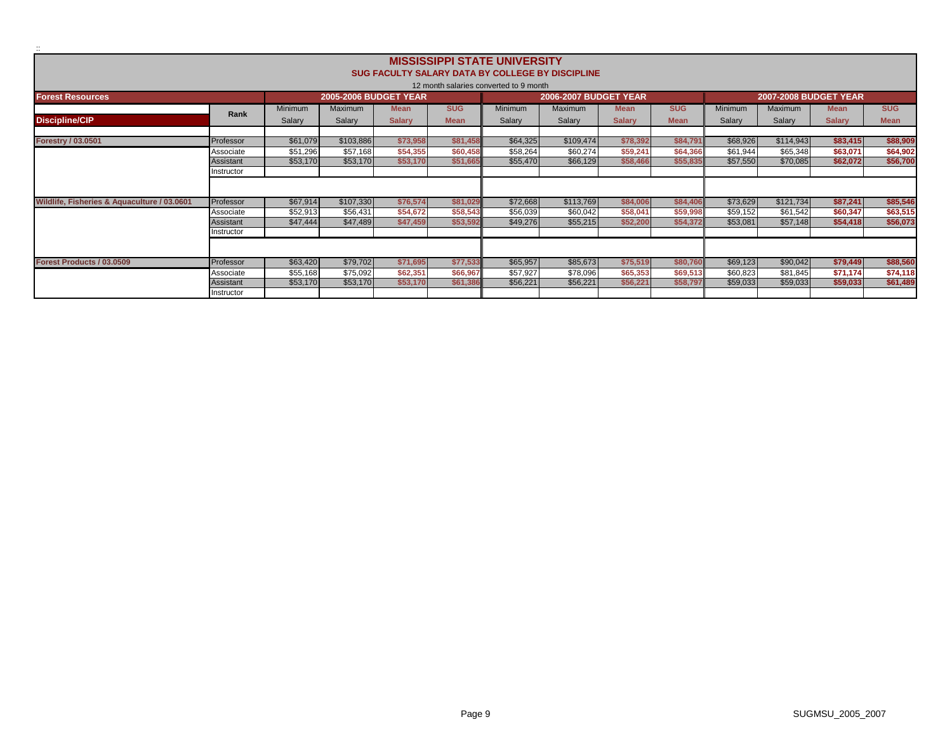|                                             |            |          |                              |               |             | <b>MISSISSIPPI STATE UNIVERSITY</b>    |                                                         |               |             |                              |                |               |             |
|---------------------------------------------|------------|----------|------------------------------|---------------|-------------|----------------------------------------|---------------------------------------------------------|---------------|-------------|------------------------------|----------------|---------------|-------------|
|                                             |            |          |                              |               |             |                                        | <b>SUG FACULTY SALARY DATA BY COLLEGE BY DISCIPLINE</b> |               |             |                              |                |               |             |
|                                             |            |          |                              |               |             | 12 month salaries converted to 9 month |                                                         |               |             |                              |                |               |             |
| <b>Forest Resources</b>                     |            |          | <b>2005-2006 BUDGET YEAR</b> |               |             |                                        | <b>2006-2007 BUDGET YEAR</b>                            |               |             | <b>2007-2008 BUDGET YEAR</b> |                |               |             |
|                                             |            | Minimum  | Maximum                      | <b>Mean</b>   | <b>SUG</b>  | <b>Minimum</b>                         | Maximum                                                 | <b>Mean</b>   | <b>SUG</b>  | Minimum                      | <b>Maximum</b> | <b>Mean</b>   | <b>SUG</b>  |
| <b>Discipline/CIP</b>                       | Rank       | Salary   | Salary                       | <b>Salary</b> | <b>Mean</b> | Salary                                 | Salary                                                  | <b>Salary</b> | <b>Mean</b> | Salary                       | Salary         | <b>Salary</b> | <b>Mean</b> |
|                                             |            |          |                              |               |             |                                        |                                                         |               |             |                              |                |               |             |
| <b>Forestry / 03.0501</b>                   | Professor  | \$61,079 | \$103,886                    | \$73,958      | \$81,458    | \$64,325                               | \$109,474                                               | \$78,392      | \$84,79     | \$68,926                     | \$114,943      | \$83,415      | \$88,909    |
|                                             | Associate  | \$51,296 | \$57,168                     | \$54,355      | \$60,458    | \$58,264                               | \$60,274                                                | \$59,241      | \$64,366    | \$61,944                     | \$65,348       | \$63,071      | \$64,902    |
|                                             | Assistant  | \$53,170 | \$53,170                     | \$53,170      | \$51,665    | \$55,470                               | \$66,129                                                | \$58,466      | \$55,835    | \$57,550                     | \$70,085       | \$62,072      | \$56,700    |
|                                             | Instructor |          |                              |               |             |                                        |                                                         |               |             |                              |                |               |             |
|                                             |            |          |                              |               |             |                                        |                                                         |               |             |                              |                |               |             |
| Wildlife, Fisheries & Aquaculture / 03.0601 | Professor  | \$67,914 | \$107,330                    | \$76,574      | \$81,029    | \$72,668                               | \$113,769                                               | \$84,006      | \$84,406    | \$73,629                     | \$121,734      | \$87,241      | \$85,546    |
|                                             | Associate  | \$52,913 | \$56,431                     | \$54,672      | \$58,543    | \$56,039                               | \$60,042                                                | \$58,041      | \$59,998    | \$59,152                     | \$61,542       | \$60,347      | \$63,515    |
|                                             | Assistant  | \$47,444 | \$47,489                     | \$47,459      | \$53,592    | \$49,276                               | \$55,215                                                | \$52,200      | \$54,372    | \$53,081                     | \$57,148       | \$54,418      | \$56,073    |
|                                             | Instructor |          |                              |               |             |                                        |                                                         |               |             |                              |                |               |             |
|                                             |            |          |                              |               |             |                                        |                                                         |               |             |                              |                |               |             |
| Forest Products / 03.0509                   | Professor  | \$63,420 | \$79,702                     | \$71,695      | \$77,533    | \$65,957                               | \$85,673                                                | \$75,519      | \$80,760    | \$69,123                     | \$90,042       | \$79,449      | \$88,560    |
|                                             | Associate  | \$55,168 | \$75,092                     | \$62,351      | \$66,967    | \$57,927                               | \$78,096                                                | \$65,353      | \$69,513    | \$60,823                     | \$81,845       | \$71,174      | \$74,118    |
|                                             | Assistant  | \$53,170 | \$53,170                     | \$53,170      | \$61,386    | \$56,221                               | \$56,221                                                | \$56,221      | \$58,79     | \$59,033                     | \$59,033       | \$59,033      | \$61,489    |
|                                             | Instructor |          |                              |               |             |                                        |                                                         |               |             |                              |                |               |             |